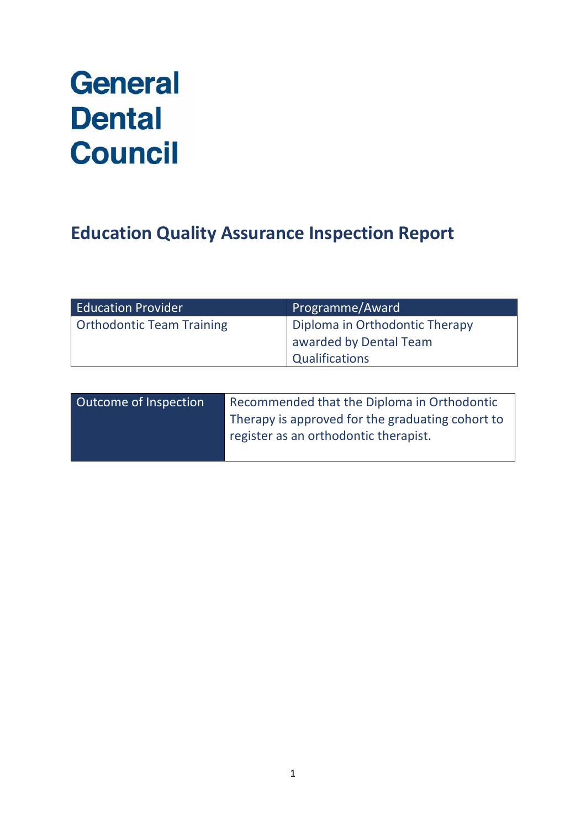# **General Dental Council**

# **Education Quality Assurance Inspection Report**

| <b>Education Provider</b>        | Programme/Award                |
|----------------------------------|--------------------------------|
| <b>Orthodontic Team Training</b> | Diploma in Orthodontic Therapy |
|                                  | awarded by Dental Team         |
|                                  | <b>Qualifications</b>          |
|                                  |                                |

| Outcome of Inspection | Recommended that the Diploma in Orthodontic      |  |
|-----------------------|--------------------------------------------------|--|
|                       | Therapy is approved for the graduating cohort to |  |
|                       | register as an orthodontic therapist.            |  |
|                       |                                                  |  |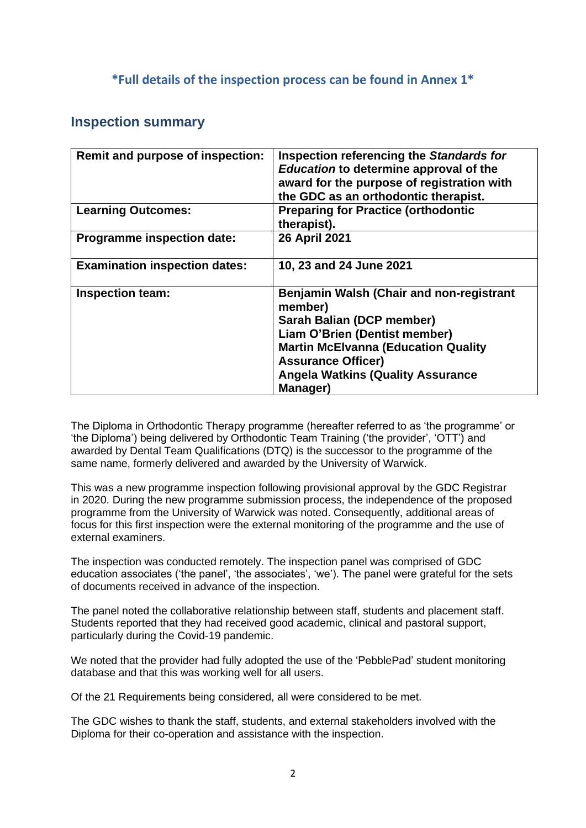### **\*Full details of the inspection process can be found in Annex 1\***

### **Inspection summary**

| Remit and purpose of inspection:     | Inspection referencing the Standards for<br><b>Education to determine approval of the</b><br>award for the purpose of registration with<br>the GDC as an orthodontic therapist.                                                                             |
|--------------------------------------|-------------------------------------------------------------------------------------------------------------------------------------------------------------------------------------------------------------------------------------------------------------|
| <b>Learning Outcomes:</b>            | <b>Preparing for Practice (orthodontic</b><br>therapist).                                                                                                                                                                                                   |
| <b>Programme inspection date:</b>    | <b>26 April 2021</b>                                                                                                                                                                                                                                        |
| <b>Examination inspection dates:</b> | 10, 23 and 24 June 2021                                                                                                                                                                                                                                     |
| <b>Inspection team:</b>              | <b>Benjamin Walsh (Chair and non-registrant</b><br>member)<br>Sarah Balian (DCP member)<br>Liam O'Brien (Dentist member)<br><b>Martin McElvanna (Education Quality</b><br><b>Assurance Officer)</b><br><b>Angela Watkins (Quality Assurance</b><br>Manager) |

The Diploma in Orthodontic Therapy programme (hereafter referred to as 'the programme' or 'the Diploma') being delivered by Orthodontic Team Training ('the provider', 'OTT') and awarded by Dental Team Qualifications (DTQ) is the successor to the programme of the same name, formerly delivered and awarded by the University of Warwick.

This was a new programme inspection following provisional approval by the GDC Registrar in 2020. During the new programme submission process, the independence of the proposed programme from the University of Warwick was noted. Consequently, additional areas of focus for this first inspection were the external monitoring of the programme and the use of external examiners.

The inspection was conducted remotely. The inspection panel was comprised of GDC education associates ('the panel', 'the associates', 'we'). The panel were grateful for the sets of documents received in advance of the inspection.

The panel noted the collaborative relationship between staff, students and placement staff. Students reported that they had received good academic, clinical and pastoral support, particularly during the Covid-19 pandemic.

We noted that the provider had fully adopted the use of the 'PebblePad' student monitoring database and that this was working well for all users.

Of the 21 Requirements being considered, all were considered to be met.

The GDC wishes to thank the staff, students, and external stakeholders involved with the Diploma for their co-operation and assistance with the inspection.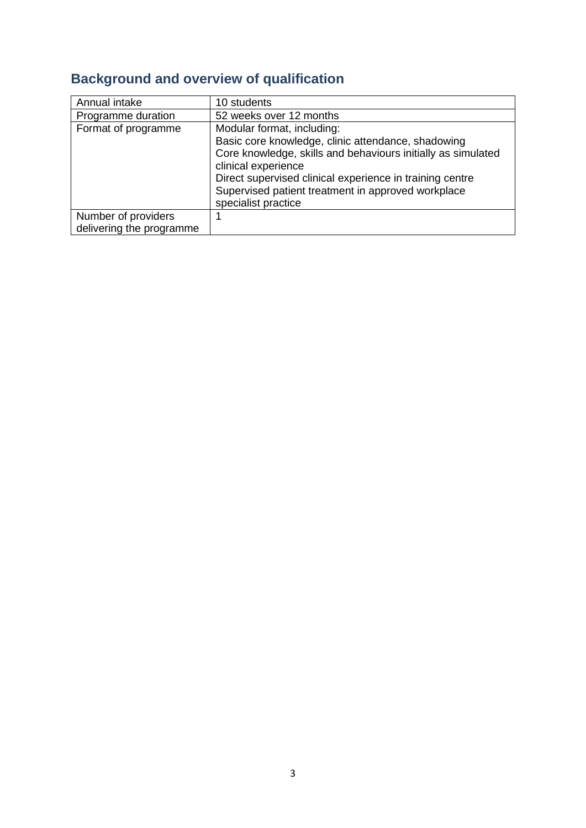# **Background and overview of qualification**

| Annual intake                                   | 10 students                                                                                                                                                                                                                                                                               |
|-------------------------------------------------|-------------------------------------------------------------------------------------------------------------------------------------------------------------------------------------------------------------------------------------------------------------------------------------------|
| Programme duration                              | 52 weeks over 12 months                                                                                                                                                                                                                                                                   |
| Format of programme                             | Modular format, including:<br>Basic core knowledge, clinic attendance, shadowing<br>Core knowledge, skills and behaviours initially as simulated<br>clinical experience<br>Direct supervised clinical experience in training centre<br>Supervised patient treatment in approved workplace |
|                                                 | specialist practice                                                                                                                                                                                                                                                                       |
| Number of providers<br>delivering the programme |                                                                                                                                                                                                                                                                                           |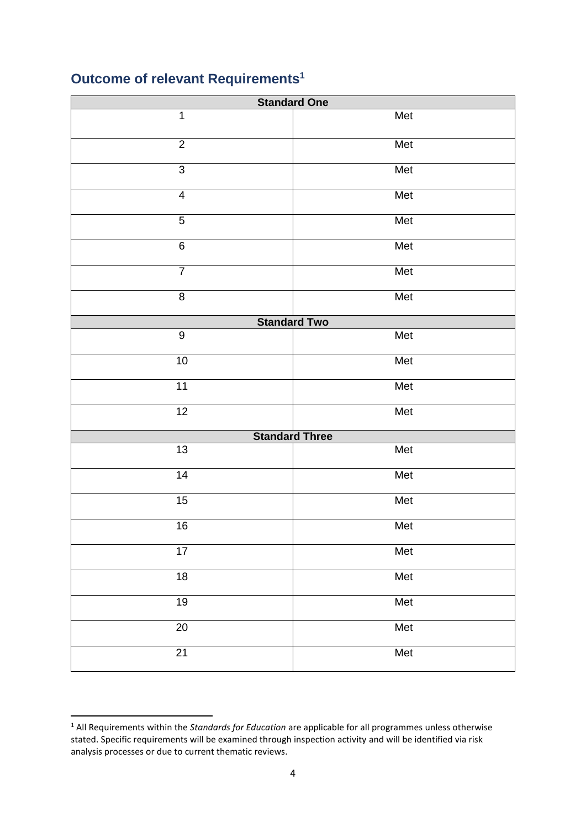# **Outcome of relevant Requirements<sup>1</sup>**

| <b>Standard One</b>     |                       |  |
|-------------------------|-----------------------|--|
| $\mathbf 1$             | Met                   |  |
| $\overline{2}$          | Met                   |  |
| $\overline{3}$          | Met                   |  |
| $\overline{\mathbf{4}}$ | Met                   |  |
| $\sqrt{5}$              | Met                   |  |
| $\,6$                   | Met                   |  |
| $\overline{7}$          | Met                   |  |
| $\overline{8}$          | Met                   |  |
|                         | <b>Standard Two</b>   |  |
| $\overline{9}$          | Met                   |  |
| 10                      | Met                   |  |
| 11                      | Met                   |  |
| $\overline{12}$         | Met                   |  |
|                         | <b>Standard Three</b> |  |
| 13                      | Met                   |  |
| $\overline{14}$         | Met                   |  |
| 15                      | Met                   |  |
| 16                      | Met                   |  |
| $\overline{17}$         | Met                   |  |
| $\overline{18}$         | Met                   |  |
| 19                      | Met                   |  |
| $\overline{20}$         | Met                   |  |
| $\overline{21}$         | Met                   |  |

 All Requirements within the *Standards for Education* are applicable for all programmes unless otherwise stated. Specific requirements will be examined through inspection activity and will be identified via risk analysis processes or due to current thematic reviews.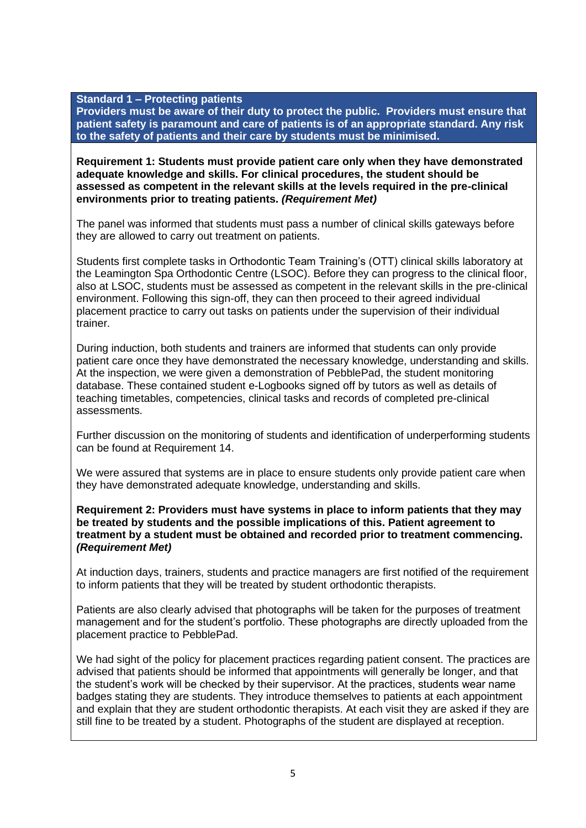#### **Standard 1 – Protecting patients**

**Providers must be aware of their duty to protect the public. Providers must ensure that patient safety is paramount and care of patients is of an appropriate standard. Any risk to the safety of patients and their care by students must be minimised.**

#### **Requirement 1: Students must provide patient care only when they have demonstrated adequate knowledge and skills. For clinical procedures, the student should be assessed as competent in the relevant skills at the levels required in the pre-clinical environments prior to treating patients.** *(Requirement Met)*

The panel was informed that students must pass a number of clinical skills gateways before they are allowed to carry out treatment on patients.

Students first complete tasks in Orthodontic Team Training's (OTT) clinical skills laboratory at the Leamington Spa Orthodontic Centre (LSOC). Before they can progress to the clinical floor, also at LSOC, students must be assessed as competent in the relevant skills in the pre-clinical environment. Following this sign-off, they can then proceed to their agreed individual placement practice to carry out tasks on patients under the supervision of their individual trainer.

During induction, both students and trainers are informed that students can only provide patient care once they have demonstrated the necessary knowledge, understanding and skills. At the inspection, we were given a demonstration of PebblePad, the student monitoring database. These contained student e-Logbooks signed off by tutors as well as details of teaching timetables, competencies, clinical tasks and records of completed pre-clinical assessments.

Further discussion on the monitoring of students and identification of underperforming students can be found at Requirement 14.

We were assured that systems are in place to ensure students only provide patient care when they have demonstrated adequate knowledge, understanding and skills.

#### **Requirement 2: Providers must have systems in place to inform patients that they may be treated by students and the possible implications of this. Patient agreement to treatment by a student must be obtained and recorded prior to treatment commencing.**  *(Requirement Met)*

At induction days, trainers, students and practice managers are first notified of the requirement to inform patients that they will be treated by student orthodontic therapists.

Patients are also clearly advised that photographs will be taken for the purposes of treatment management and for the student's portfolio. These photographs are directly uploaded from the placement practice to PebblePad.

We had sight of the policy for placement practices regarding patient consent. The practices are advised that patients should be informed that appointments will generally be longer, and that the student's work will be checked by their supervisor. At the practices, students wear name badges stating they are students. They introduce themselves to patients at each appointment and explain that they are student orthodontic therapists. At each visit they are asked if they are still fine to be treated by a student. Photographs of the student are displayed at reception.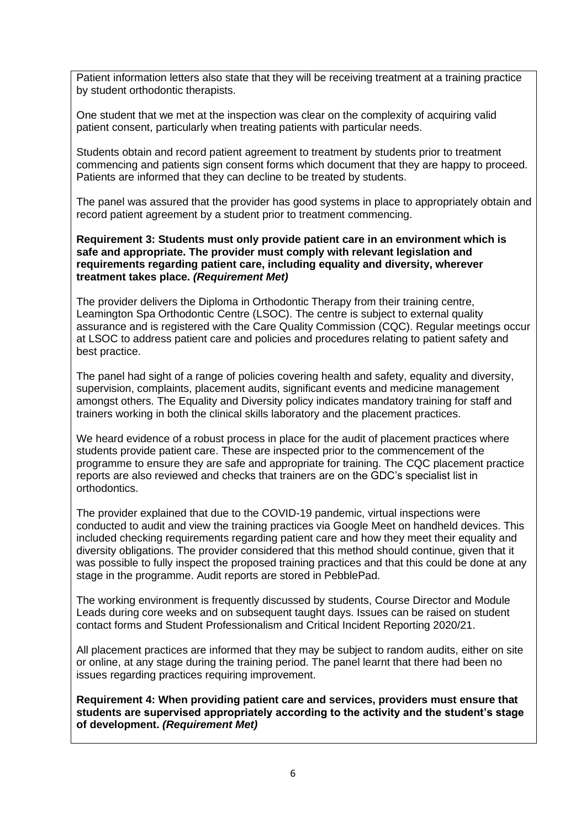Patient information letters also state that they will be receiving treatment at a training practice by student orthodontic therapists.

One student that we met at the inspection was clear on the complexity of acquiring valid patient consent, particularly when treating patients with particular needs.

Students obtain and record patient agreement to treatment by students prior to treatment commencing and patients sign consent forms which document that they are happy to proceed. Patients are informed that they can decline to be treated by students.

The panel was assured that the provider has good systems in place to appropriately obtain and record patient agreement by a student prior to treatment commencing.

**Requirement 3: Students must only provide patient care in an environment which is safe and appropriate. The provider must comply with relevant legislation and requirements regarding patient care, including equality and diversity, wherever treatment takes place.** *(Requirement Met)*

The provider delivers the Diploma in Orthodontic Therapy from their training centre, Leamington Spa Orthodontic Centre (LSOC). The centre is subject to external quality assurance and is registered with the Care Quality Commission (CQC). Regular meetings occur at LSOC to address patient care and policies and procedures relating to patient safety and best practice.

The panel had sight of a range of policies covering health and safety, equality and diversity, supervision, complaints, placement audits, significant events and medicine management amongst others. The Equality and Diversity policy indicates mandatory training for staff and trainers working in both the clinical skills laboratory and the placement practices.

We heard evidence of a robust process in place for the audit of placement practices where students provide patient care. These are inspected prior to the commencement of the programme to ensure they are safe and appropriate for training. The CQC placement practice reports are also reviewed and checks that trainers are on the GDC's specialist list in orthodontics.

The provider explained that due to the COVID-19 pandemic, virtual inspections were conducted to audit and view the training practices via Google Meet on handheld devices. This included checking requirements regarding patient care and how they meet their equality and diversity obligations. The provider considered that this method should continue, given that it was possible to fully inspect the proposed training practices and that this could be done at any stage in the programme. Audit reports are stored in PebblePad.

The working environment is frequently discussed by students, Course Director and Module Leads during core weeks and on subsequent taught days. Issues can be raised on student contact forms and Student Professionalism and Critical Incident Reporting 2020/21.

All placement practices are informed that they may be subject to random audits, either on site or online, at any stage during the training period. The panel learnt that there had been no issues regarding practices requiring improvement.

**Requirement 4: When providing patient care and services, providers must ensure that students are supervised appropriately according to the activity and the student's stage of development.** *(Requirement Met)*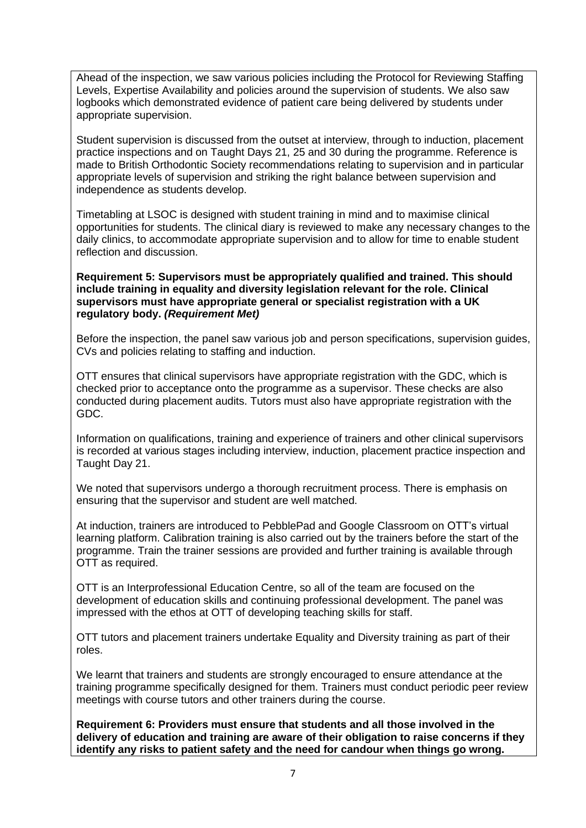Ahead of the inspection, we saw various policies including the Protocol for Reviewing Staffing Levels, Expertise Availability and policies around the supervision of students. We also saw logbooks which demonstrated evidence of patient care being delivered by students under appropriate supervision.

Student supervision is discussed from the outset at interview, through to induction, placement practice inspections and on Taught Days 21, 25 and 30 during the programme. Reference is made to British Orthodontic Society recommendations relating to supervision and in particular appropriate levels of supervision and striking the right balance between supervision and independence as students develop.

Timetabling at LSOC is designed with student training in mind and to maximise clinical opportunities for students. The clinical diary is reviewed to make any necessary changes to the daily clinics, to accommodate appropriate supervision and to allow for time to enable student reflection and discussion.

**Requirement 5: Supervisors must be appropriately qualified and trained. This should include training in equality and diversity legislation relevant for the role. Clinical supervisors must have appropriate general or specialist registration with a UK regulatory body.** *(Requirement Met)*

Before the inspection, the panel saw various job and person specifications, supervision guides, CVs and policies relating to staffing and induction.

OTT ensures that clinical supervisors have appropriate registration with the GDC, which is checked prior to acceptance onto the programme as a supervisor. These checks are also conducted during placement audits. Tutors must also have appropriate registration with the GDC.

Information on qualifications, training and experience of trainers and other clinical supervisors is recorded at various stages including interview, induction, placement practice inspection and Taught Day 21.

We noted that supervisors undergo a thorough recruitment process. There is emphasis on ensuring that the supervisor and student are well matched.

At induction, trainers are introduced to PebblePad and Google Classroom on OTT's virtual learning platform. Calibration training is also carried out by the trainers before the start of the programme. Train the trainer sessions are provided and further training is available through OTT as required.

OTT is an Interprofessional Education Centre, so all of the team are focused on the development of education skills and continuing professional development. The panel was impressed with the ethos at OTT of developing teaching skills for staff.

OTT tutors and placement trainers undertake Equality and Diversity training as part of their roles.

We learnt that trainers and students are strongly encouraged to ensure attendance at the training programme specifically designed for them. Trainers must conduct periodic peer review meetings with course tutors and other trainers during the course.

**Requirement 6: Providers must ensure that students and all those involved in the delivery of education and training are aware of their obligation to raise concerns if they identify any risks to patient safety and the need for candour when things go wrong.**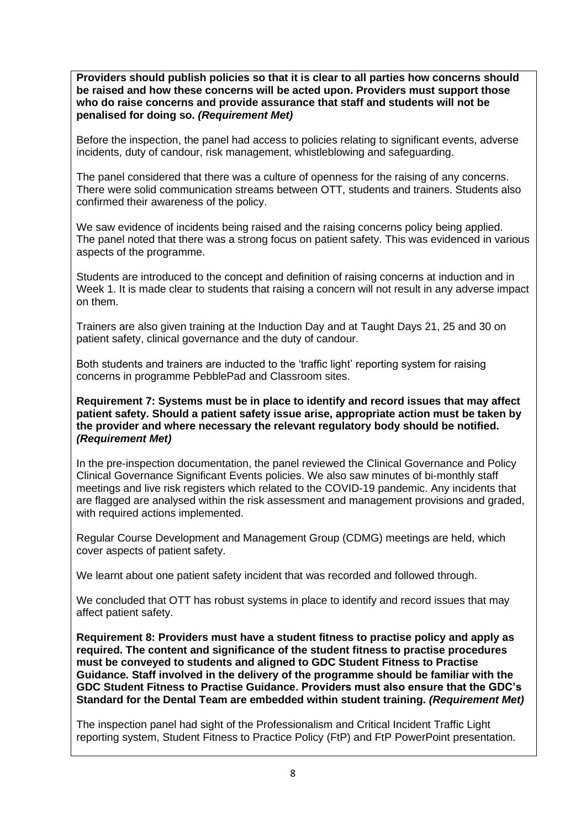**Providers should publish policies so that it is clear to all parties how concerns should be raised and how these concerns will be acted upon. Providers must support those who do raise concerns and provide assurance that staff and students will not be penalised for doing so.** *(Requirement Met)*

Before the inspection, the panel had access to policies relating to significant events, adverse incidents, duty of candour, risk management, whistleblowing and safeguarding.

The panel considered that there was a culture of openness for the raising of any concerns. There were solid communication streams between OTT, students and trainers. Students also confirmed their awareness of the policy.

We saw evidence of incidents being raised and the raising concerns policy being applied. The panel noted that there was a strong focus on patient safety. This was evidenced in various aspects of the programme.

Students are introduced to the concept and definition of raising concerns at induction and in Week 1. It is made clear to students that raising a concern will not result in any adverse impact on them.

Trainers are also given training at the Induction Day and at Taught Days 21, 25 and 30 on patient safety, clinical governance and the duty of candour.

Both students and trainers are inducted to the 'traffic light' reporting system for raising concerns in programme PebblePad and Classroom sites.

**Requirement 7: Systems must be in place to identify and record issues that may affect patient safety. Should a patient safety issue arise, appropriate action must be taken by the provider and where necessary the relevant regulatory body should be notified.**  *(Requirement Met)*

In the pre-inspection documentation, the panel reviewed the Clinical Governance and Policy Clinical Governance Significant Events policies. We also saw minutes of bi-monthly staff meetings and live risk registers which related to the COVID-19 pandemic. Any incidents that are flagged are analysed within the risk assessment and management provisions and graded, with required actions implemented.

Regular Course Development and Management Group (CDMG) meetings are held, which cover aspects of patient safety.

We learnt about one patient safety incident that was recorded and followed through.

We concluded that OTT has robust systems in place to identify and record issues that may affect patient safety.

**Requirement 8: Providers must have a student fitness to practise policy and apply as required. The content and significance of the student fitness to practise procedures must be conveyed to students and aligned to GDC Student Fitness to Practise Guidance. Staff involved in the delivery of the programme should be familiar with the GDC Student Fitness to Practise Guidance. Providers must also ensure that the GDC's Standard for the Dental Team are embedded within student training.** *(Requirement Met)*

The inspection panel had sight of the Professionalism and Critical Incident Traffic Light reporting system, Student Fitness to Practice Policy (FtP) and FtP PowerPoint presentation.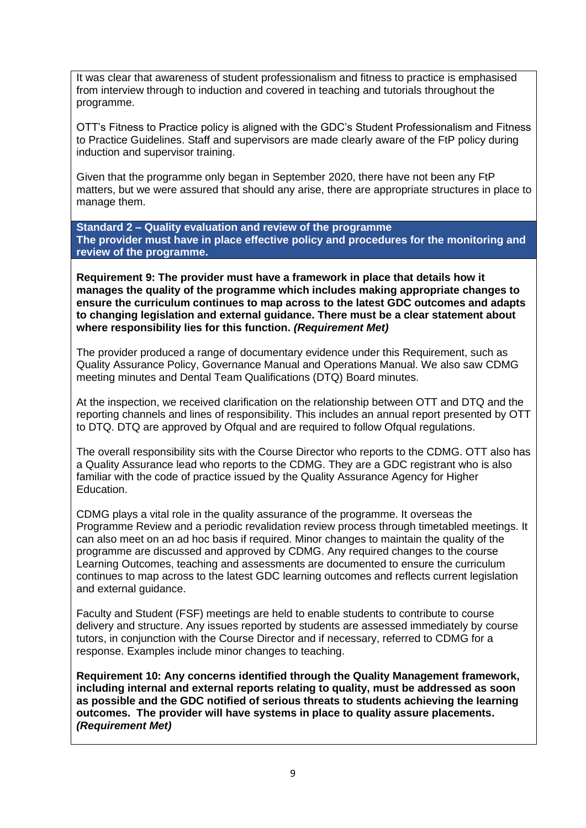It was clear that awareness of student professionalism and fitness to practice is emphasised from interview through to induction and covered in teaching and tutorials throughout the programme.

OTT's Fitness to Practice policy is aligned with the GDC's Student Professionalism and Fitness to Practice Guidelines. Staff and supervisors are made clearly aware of the FtP policy during induction and supervisor training.

Given that the programme only began in September 2020, there have not been any FtP matters, but we were assured that should any arise, there are appropriate structures in place to manage them.

**Standard 2 – Quality evaluation and review of the programme The provider must have in place effective policy and procedures for the monitoring and review of the programme.**

**Requirement 9: The provider must have a framework in place that details how it manages the quality of the programme which includes making appropriate changes to ensure the curriculum continues to map across to the latest GDC outcomes and adapts to changing legislation and external guidance. There must be a clear statement about where responsibility lies for this function.** *(Requirement Met)*

The provider produced a range of documentary evidence under this Requirement, such as Quality Assurance Policy, Governance Manual and Operations Manual. We also saw CDMG meeting minutes and Dental Team Qualifications (DTQ) Board minutes.

At the inspection, we received clarification on the relationship between OTT and DTQ and the reporting channels and lines of responsibility. This includes an annual report presented by OTT to DTQ. DTQ are approved by Ofqual and are required to follow Ofqual regulations.

The overall responsibility sits with the Course Director who reports to the CDMG. OTT also has a Quality Assurance lead who reports to the CDMG. They are a GDC registrant who is also familiar with the code of practice issued by the Quality Assurance Agency for Higher Education.

CDMG plays a vital role in the quality assurance of the programme. It overseas the Programme Review and a periodic revalidation review process through timetabled meetings. It can also meet on an ad hoc basis if required. Minor changes to maintain the quality of the programme are discussed and approved by CDMG. Any required changes to the course Learning Outcomes, teaching and assessments are documented to ensure the curriculum continues to map across to the latest GDC learning outcomes and reflects current legislation and external guidance.

Faculty and Student (FSF) meetings are held to enable students to contribute to course delivery and structure. Any issues reported by students are assessed immediately by course tutors, in conjunction with the Course Director and if necessary, referred to CDMG for a response. Examples include minor changes to teaching.

**Requirement 10: Any concerns identified through the Quality Management framework, including internal and external reports relating to quality, must be addressed as soon as possible and the GDC notified of serious threats to students achieving the learning outcomes. The provider will have systems in place to quality assure placements.** *(Requirement Met)*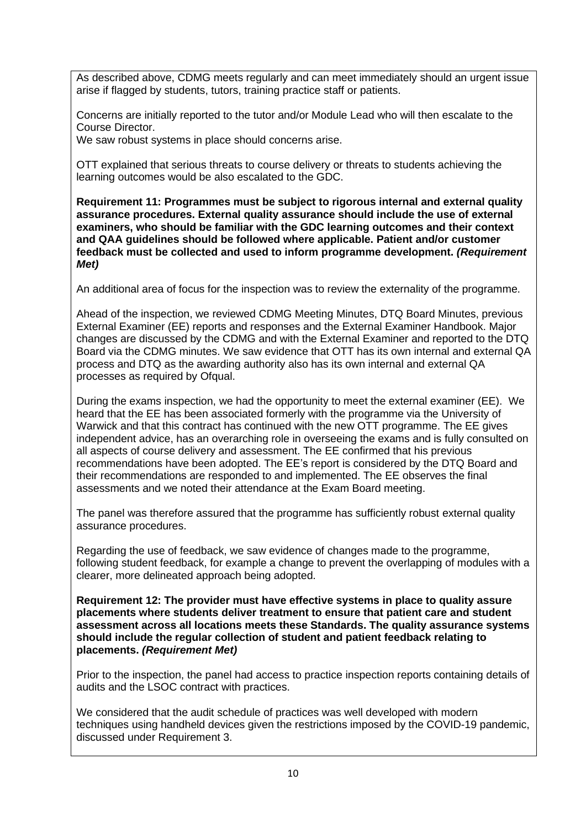As described above, CDMG meets regularly and can meet immediately should an urgent issue arise if flagged by students, tutors, training practice staff or patients.

Concerns are initially reported to the tutor and/or Module Lead who will then escalate to the Course Director.

We saw robust systems in place should concerns arise.

OTT explained that serious threats to course delivery or threats to students achieving the learning outcomes would be also escalated to the GDC.

**Requirement 11: Programmes must be subject to rigorous internal and external quality assurance procedures. External quality assurance should include the use of external examiners, who should be familiar with the GDC learning outcomes and their context and QAA guidelines should be followed where applicable. Patient and/or customer feedback must be collected and used to inform programme development.** *(Requirement Met)*

An additional area of focus for the inspection was to review the externality of the programme.

Ahead of the inspection, we reviewed CDMG Meeting Minutes, DTQ Board Minutes, previous External Examiner (EE) reports and responses and the External Examiner Handbook. Major changes are discussed by the CDMG and with the External Examiner and reported to the DTQ Board via the CDMG minutes. We saw evidence that OTT has its own internal and external QA process and DTQ as the awarding authority also has its own internal and external QA processes as required by Ofqual.

During the exams inspection, we had the opportunity to meet the external examiner (EE). We heard that the EE has been associated formerly with the programme via the University of Warwick and that this contract has continued with the new OTT programme. The EE gives independent advice, has an overarching role in overseeing the exams and is fully consulted on all aspects of course delivery and assessment. The EE confirmed that his previous recommendations have been adopted. The EE's report is considered by the DTQ Board and their recommendations are responded to and implemented. The EE observes the final assessments and we noted their attendance at the Exam Board meeting.

The panel was therefore assured that the programme has sufficiently robust external quality assurance procedures.

Regarding the use of feedback, we saw evidence of changes made to the programme, following student feedback, for example a change to prevent the overlapping of modules with a clearer, more delineated approach being adopted.

**Requirement 12: The provider must have effective systems in place to quality assure placements where students deliver treatment to ensure that patient care and student assessment across all locations meets these Standards. The quality assurance systems should include the regular collection of student and patient feedback relating to placements.** *(Requirement Met)*

Prior to the inspection, the panel had access to practice inspection reports containing details of audits and the LSOC contract with practices.

We considered that the audit schedule of practices was well developed with modern techniques using handheld devices given the restrictions imposed by the COVID-19 pandemic, discussed under Requirement 3.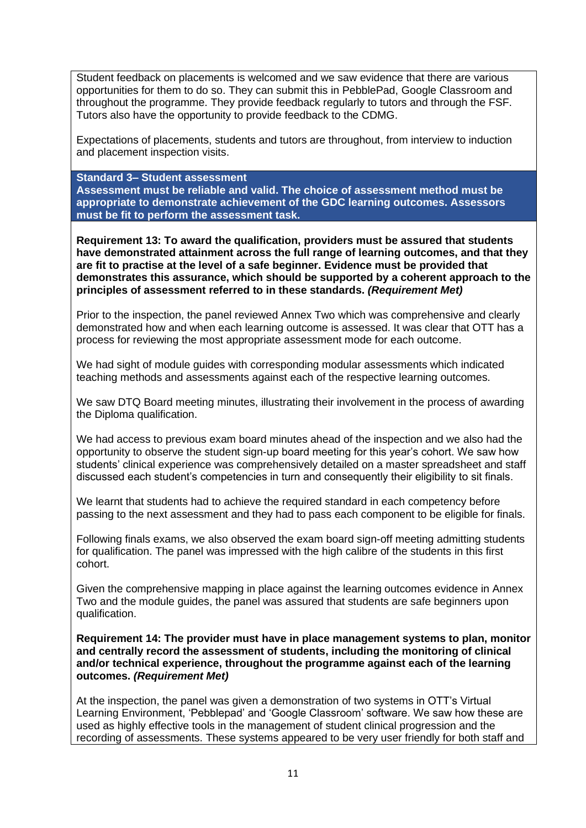Student feedback on placements is welcomed and we saw evidence that there are various opportunities for them to do so. They can submit this in PebblePad, Google Classroom and throughout the programme. They provide feedback regularly to tutors and through the FSF. Tutors also have the opportunity to provide feedback to the CDMG.

Expectations of placements, students and tutors are throughout, from interview to induction and placement inspection visits.

**Standard 3– Student assessment**

**Assessment must be reliable and valid. The choice of assessment method must be appropriate to demonstrate achievement of the GDC learning outcomes. Assessors must be fit to perform the assessment task.**

**Requirement 13: To award the qualification, providers must be assured that students have demonstrated attainment across the full range of learning outcomes, and that they are fit to practise at the level of a safe beginner. Evidence must be provided that demonstrates this assurance, which should be supported by a coherent approach to the principles of assessment referred to in these standards.** *(Requirement Met)*

Prior to the inspection, the panel reviewed Annex Two which was comprehensive and clearly demonstrated how and when each learning outcome is assessed. It was clear that OTT has a process for reviewing the most appropriate assessment mode for each outcome.

We had sight of module guides with corresponding modular assessments which indicated teaching methods and assessments against each of the respective learning outcomes.

We saw DTQ Board meeting minutes, illustrating their involvement in the process of awarding the Diploma qualification.

We had access to previous exam board minutes ahead of the inspection and we also had the opportunity to observe the student sign-up board meeting for this year's cohort. We saw how students' clinical experience was comprehensively detailed on a master spreadsheet and staff discussed each student's competencies in turn and consequently their eligibility to sit finals.

We learnt that students had to achieve the required standard in each competency before passing to the next assessment and they had to pass each component to be eligible for finals.

Following finals exams, we also observed the exam board sign-off meeting admitting students for qualification. The panel was impressed with the high calibre of the students in this first cohort.

Given the comprehensive mapping in place against the learning outcomes evidence in Annex Two and the module guides, the panel was assured that students are safe beginners upon qualification.

**Requirement 14: The provider must have in place management systems to plan, monitor and centrally record the assessment of students, including the monitoring of clinical and/or technical experience, throughout the programme against each of the learning outcomes.** *(Requirement Met)*

At the inspection, the panel was given a demonstration of two systems in OTT's Virtual Learning Environment, 'Pebblepad' and 'Google Classroom' software. We saw how these are used as highly effective tools in the management of student clinical progression and the recording of assessments. These systems appeared to be very user friendly for both staff and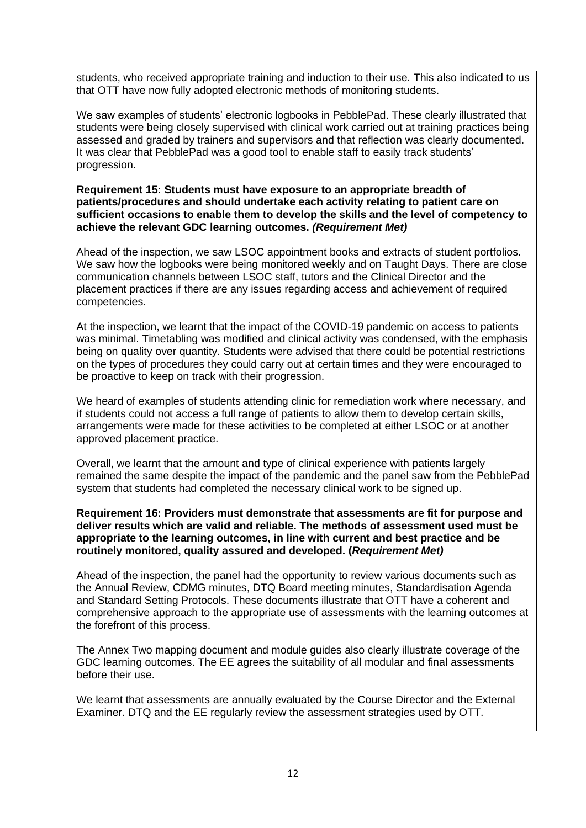students, who received appropriate training and induction to their use. This also indicated to us that OTT have now fully adopted electronic methods of monitoring students.

We saw examples of students' electronic logbooks in PebblePad. These clearly illustrated that students were being closely supervised with clinical work carried out at training practices being assessed and graded by trainers and supervisors and that reflection was clearly documented. It was clear that PebblePad was a good tool to enable staff to easily track students' progression.

**Requirement 15: Students must have exposure to an appropriate breadth of patients/procedures and should undertake each activity relating to patient care on sufficient occasions to enable them to develop the skills and the level of competency to achieve the relevant GDC learning outcomes.** *(Requirement Met)*

Ahead of the inspection, we saw LSOC appointment books and extracts of student portfolios. We saw how the logbooks were being monitored weekly and on Taught Days. There are close communication channels between LSOC staff, tutors and the Clinical Director and the placement practices if there are any issues regarding access and achievement of required competencies.

At the inspection, we learnt that the impact of the COVID-19 pandemic on access to patients was minimal. Timetabling was modified and clinical activity was condensed, with the emphasis being on quality over quantity. Students were advised that there could be potential restrictions on the types of procedures they could carry out at certain times and they were encouraged to be proactive to keep on track with their progression.

We heard of examples of students attending clinic for remediation work where necessary, and if students could not access a full range of patients to allow them to develop certain skills, arrangements were made for these activities to be completed at either LSOC or at another approved placement practice.

Overall, we learnt that the amount and type of clinical experience with patients largely remained the same despite the impact of the pandemic and the panel saw from the PebblePad system that students had completed the necessary clinical work to be signed up.

**Requirement 16: Providers must demonstrate that assessments are fit for purpose and deliver results which are valid and reliable. The methods of assessment used must be appropriate to the learning outcomes, in line with current and best practice and be routinely monitored, quality assured and developed. (***Requirement Met)*

Ahead of the inspection, the panel had the opportunity to review various documents such as the Annual Review, CDMG minutes, DTQ Board meeting minutes, Standardisation Agenda and Standard Setting Protocols. These documents illustrate that OTT have a coherent and comprehensive approach to the appropriate use of assessments with the learning outcomes at the forefront of this process.

The Annex Two mapping document and module guides also clearly illustrate coverage of the GDC learning outcomes. The EE agrees the suitability of all modular and final assessments before their use.

We learnt that assessments are annually evaluated by the Course Director and the External Examiner. DTQ and the EE regularly review the assessment strategies used by OTT.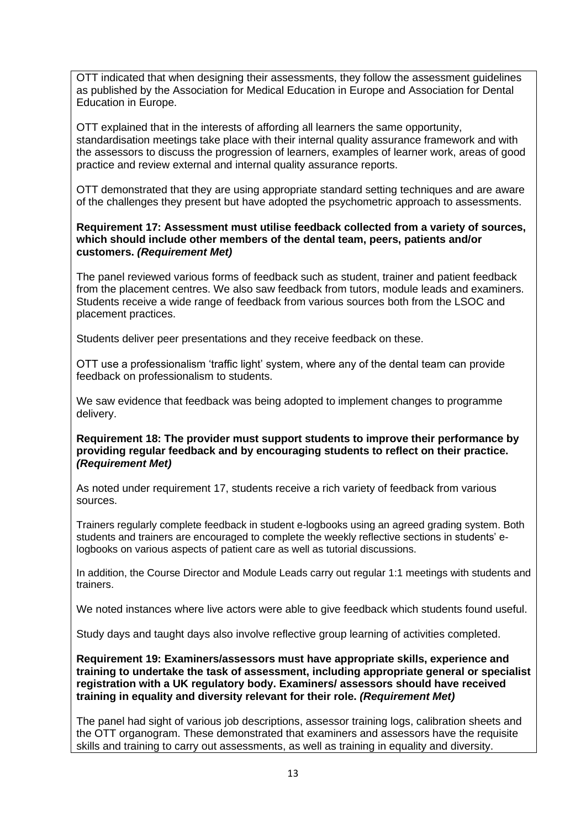OTT indicated that when designing their assessments, they follow the assessment guidelines as published by the Association for Medical Education in Europe and Association for Dental Education in Europe.

OTT explained that in the interests of affording all learners the same opportunity, standardisation meetings take place with their internal quality assurance framework and with the assessors to discuss the progression of learners, examples of learner work, areas of good practice and review external and internal quality assurance reports.

OTT demonstrated that they are using appropriate standard setting techniques and are aware of the challenges they present but have adopted the psychometric approach to assessments.

#### **Requirement 17: Assessment must utilise feedback collected from a variety of sources, which should include other members of the dental team, peers, patients and/or customers.** *(Requirement Met)*

The panel reviewed various forms of feedback such as student, trainer and patient feedback from the placement centres. We also saw feedback from tutors, module leads and examiners. Students receive a wide range of feedback from various sources both from the LSOC and placement practices.

Students deliver peer presentations and they receive feedback on these.

OTT use a professionalism 'traffic light' system, where any of the dental team can provide feedback on professionalism to students.

We saw evidence that feedback was being adopted to implement changes to programme delivery.

#### **Requirement 18: The provider must support students to improve their performance by providing regular feedback and by encouraging students to reflect on their practice.** *(Requirement Met)*

As noted under requirement 17, students receive a rich variety of feedback from various sources.

Trainers regularly complete feedback in student e-logbooks using an agreed grading system. Both students and trainers are encouraged to complete the weekly reflective sections in students' elogbooks on various aspects of patient care as well as tutorial discussions.

In addition, the Course Director and Module Leads carry out regular 1:1 meetings with students and trainers.

We noted instances where live actors were able to give feedback which students found useful.

Study days and taught days also involve reflective group learning of activities completed.

**Requirement 19: Examiners/assessors must have appropriate skills, experience and training to undertake the task of assessment, including appropriate general or specialist registration with a UK regulatory body. Examiners/ assessors should have received training in equality and diversity relevant for their role.** *(Requirement Met)*

The panel had sight of various job descriptions, assessor training logs, calibration sheets and the OTT organogram. These demonstrated that examiners and assessors have the requisite skills and training to carry out assessments, as well as training in equality and diversity.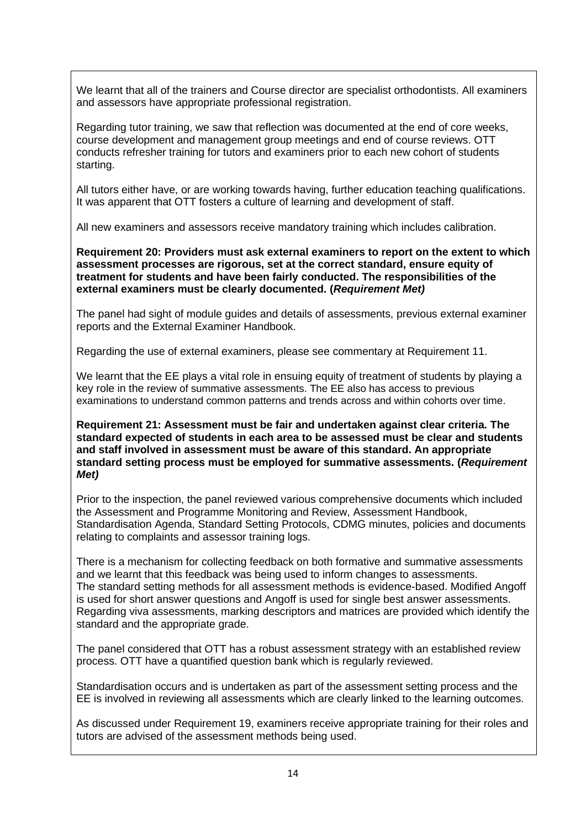We learnt that all of the trainers and Course director are specialist orthodontists. All examiners and assessors have appropriate professional registration.

Regarding tutor training, we saw that reflection was documented at the end of core weeks, course development and management group meetings and end of course reviews. OTT conducts refresher training for tutors and examiners prior to each new cohort of students starting.

All tutors either have, or are working towards having, further education teaching qualifications. It was apparent that OTT fosters a culture of learning and development of staff.

All new examiners and assessors receive mandatory training which includes calibration.

**Requirement 20: Providers must ask external examiners to report on the extent to which assessment processes are rigorous, set at the correct standard, ensure equity of treatment for students and have been fairly conducted. The responsibilities of the external examiners must be clearly documented. (***Requirement Met)*

The panel had sight of module guides and details of assessments, previous external examiner reports and the External Examiner Handbook.

Regarding the use of external examiners, please see commentary at Requirement 11.

We learnt that the EE plays a vital role in ensuing equity of treatment of students by playing a key role in the review of summative assessments. The EE also has access to previous examinations to understand common patterns and trends across and within cohorts over time.

**Requirement 21: Assessment must be fair and undertaken against clear criteria. The standard expected of students in each area to be assessed must be clear and students and staff involved in assessment must be aware of this standard. An appropriate standard setting process must be employed for summative assessments. (***Requirement Met)*

Prior to the inspection, the panel reviewed various comprehensive documents which included the Assessment and Programme Monitoring and Review, Assessment Handbook, Standardisation Agenda, Standard Setting Protocols, CDMG minutes, policies and documents relating to complaints and assessor training logs.

There is a mechanism for collecting feedback on both formative and summative assessments and we learnt that this feedback was being used to inform changes to assessments. The standard setting methods for all assessment methods is evidence-based. Modified Angoff is used for short answer questions and Angoff is used for single best answer assessments. Regarding viva assessments, marking descriptors and matrices are provided which identify the standard and the appropriate grade.

The panel considered that OTT has a robust assessment strategy with an established review process. OTT have a quantified question bank which is regularly reviewed.

Standardisation occurs and is undertaken as part of the assessment setting process and the EE is involved in reviewing all assessments which are clearly linked to the learning outcomes.

As discussed under Requirement 19, examiners receive appropriate training for their roles and tutors are advised of the assessment methods being used.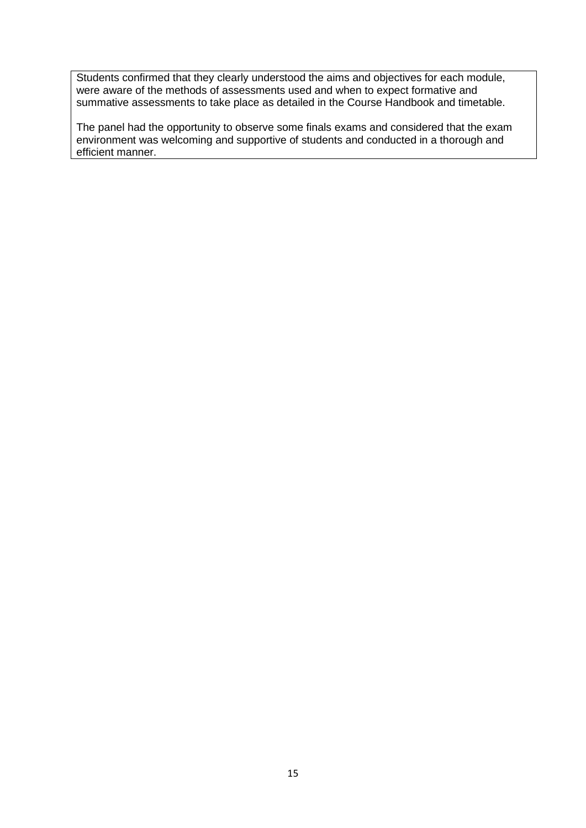Students confirmed that they clearly understood the aims and objectives for each module, were aware of the methods of assessments used and when to expect formative and summative assessments to take place as detailed in the Course Handbook and timetable.

The panel had the opportunity to observe some finals exams and considered that the exam environment was welcoming and supportive of students and conducted in a thorough and efficient manner.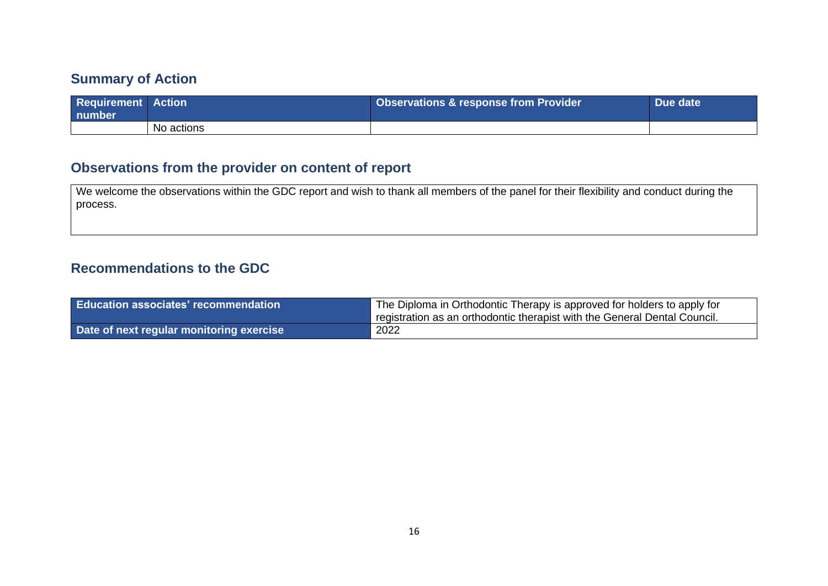# **Summary of Action**

| <b>Requirement Action</b><br>l number |            | <b>Observations &amp; response from Provider</b> | Due date |
|---------------------------------------|------------|--------------------------------------------------|----------|
|                                       | No actions |                                                  |          |

# **Observations from the provider on content of report**

We welcome the observations within the GDC report and wish to thank all members of the panel for their flexibility and conduct during the process.

## **Recommendations to the GDC**

| <b>Education associates' recommendation</b> | The Diploma in Orthodontic Therapy is approved for holders to apply for<br>registration as an orthodontic therapist with the General Dental Council. |
|---------------------------------------------|------------------------------------------------------------------------------------------------------------------------------------------------------|
| Date of next regular monitoring exercise    | 2022                                                                                                                                                 |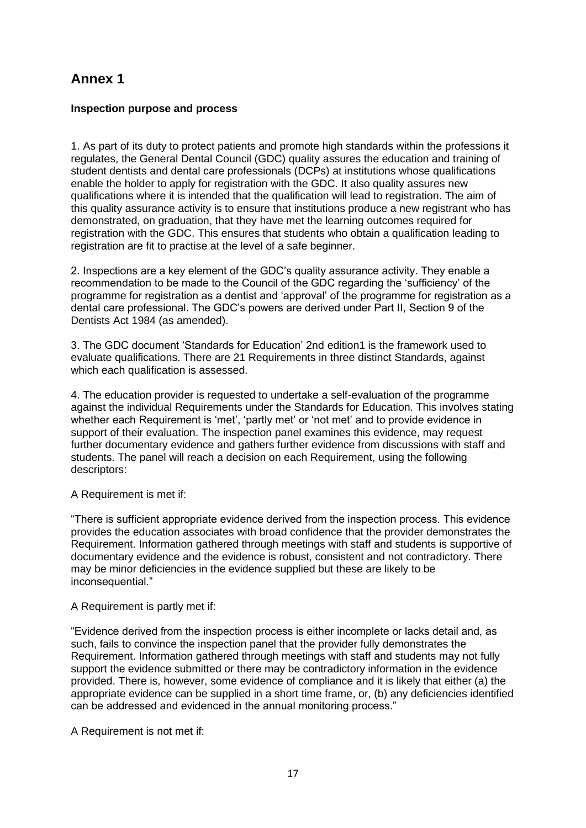# **Annex 1**

#### **Inspection purpose and process**

1. As part of its duty to protect patients and promote high standards within the professions it regulates, the General Dental Council (GDC) quality assures the education and training of student dentists and dental care professionals (DCPs) at institutions whose qualifications enable the holder to apply for registration with the GDC. It also quality assures new qualifications where it is intended that the qualification will lead to registration. The aim of this quality assurance activity is to ensure that institutions produce a new registrant who has demonstrated, on graduation, that they have met the learning outcomes required for registration with the GDC. This ensures that students who obtain a qualification leading to registration are fit to practise at the level of a safe beginner.

2. Inspections are a key element of the GDC's quality assurance activity. They enable a recommendation to be made to the Council of the GDC regarding the 'sufficiency' of the programme for registration as a dentist and 'approval' of the programme for registration as a dental care professional. The GDC's powers are derived under Part II, Section 9 of the Dentists Act 1984 (as amended).

3. The GDC document 'Standards for Education' 2nd edition1 is the framework used to evaluate qualifications. There are 21 Requirements in three distinct Standards, against which each qualification is assessed.

4. The education provider is requested to undertake a self-evaluation of the programme against the individual Requirements under the Standards for Education. This involves stating whether each Requirement is 'met', 'partly met' or 'not met' and to provide evidence in support of their evaluation. The inspection panel examines this evidence, may request further documentary evidence and gathers further evidence from discussions with staff and students. The panel will reach a decision on each Requirement, using the following descriptors:

A Requirement is met if:

"There is sufficient appropriate evidence derived from the inspection process. This evidence provides the education associates with broad confidence that the provider demonstrates the Requirement. Information gathered through meetings with staff and students is supportive of documentary evidence and the evidence is robust, consistent and not contradictory. There may be minor deficiencies in the evidence supplied but these are likely to be inconsequential."

A Requirement is partly met if:

"Evidence derived from the inspection process is either incomplete or lacks detail and, as such, fails to convince the inspection panel that the provider fully demonstrates the Requirement. Information gathered through meetings with staff and students may not fully support the evidence submitted or there may be contradictory information in the evidence provided. There is, however, some evidence of compliance and it is likely that either (a) the appropriate evidence can be supplied in a short time frame, or, (b) any deficiencies identified can be addressed and evidenced in the annual monitoring process."

A Requirement is not met if: